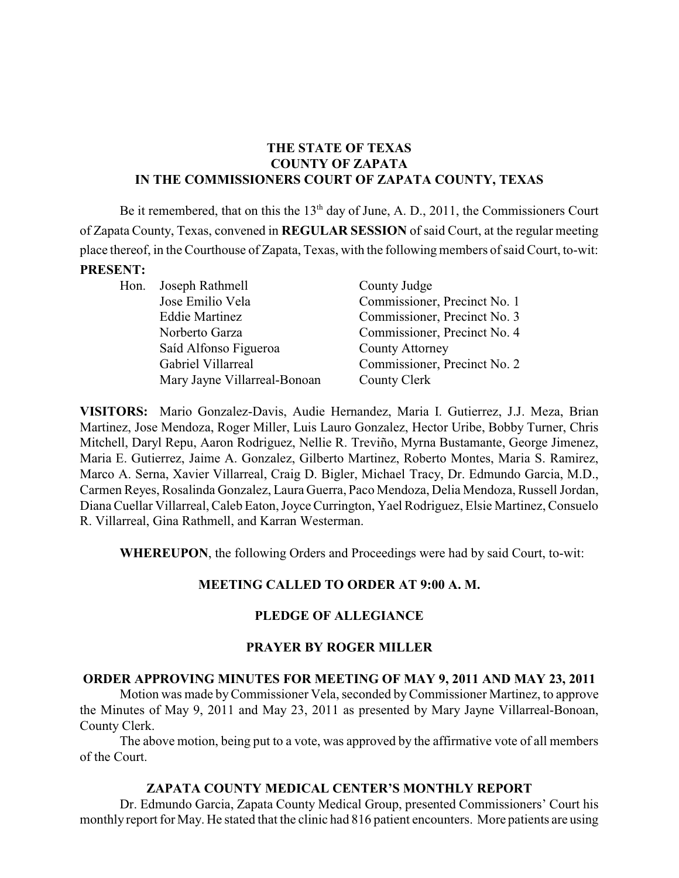# **THE STATE OF TEXAS COUNTY OF ZAPATA IN THE COMMISSIONERS COURT OF ZAPATA COUNTY, TEXAS**

Be it remembered, that on this the  $13<sup>th</sup>$  day of June, A. D., 2011, the Commissioners Court of Zapata County, Texas, convened in **REGULAR SESSION** of said Court, at the regular meeting place thereof, in the Courthouse of Zapata, Texas, with the following members of said Court, to-wit: **PRESENT:**

Hon. Joseph Rathmell County Judge Saíd Alfonso Figueroa County Attorney Mary Jayne Villarreal-Bonoan County Clerk

Jose Emilio Vela Commissioner, Precinct No. 1 Eddie Martinez Commissioner, Precinct No. 3 Norberto Garza Commissioner, Precinct No. 4 Gabriel Villarreal Commissioner, Precinct No. 2

**VISITORS:** Mario Gonzalez-Davis, Audie Hernandez, Maria I. Gutierrez, J.J. Meza, Brian Martinez, Jose Mendoza, Roger Miller, Luis Lauro Gonzalez, Hector Uribe, Bobby Turner, Chris Mitchell, Daryl Repu, Aaron Rodriguez, Nellie R. Treviño, Myrna Bustamante, George Jimenez, Maria E. Gutierrez, Jaime A. Gonzalez, Gilberto Martinez, Roberto Montes, Maria S. Ramirez, Marco A. Serna, Xavier Villarreal, Craig D. Bigler, Michael Tracy, Dr. Edmundo Garcia, M.D., Carmen Reyes, Rosalinda Gonzalez, Laura Guerra, Paco Mendoza, Delia Mendoza, Russell Jordan, Diana Cuellar Villarreal, Caleb Eaton, Joyce Currington, Yael Rodriguez, Elsie Martinez, Consuelo R. Villarreal, Gina Rathmell, and Karran Westerman.

**WHEREUPON**, the following Orders and Proceedings were had by said Court, to-wit:

# **MEETING CALLED TO ORDER AT 9:00 A. M.**

# **PLEDGE OF ALLEGIANCE**

#### **PRAYER BY ROGER MILLER**

#### **ORDER APPROVING MINUTES FOR MEETING OF MAY 9, 2011 AND MAY 23, 2011**

Motion was made byCommissioner Vela, seconded byCommissioner Martinez, to approve the Minutes of May 9, 2011 and May 23, 2011 as presented by Mary Jayne Villarreal-Bonoan, County Clerk.

The above motion, being put to a vote, was approved by the affirmative vote of all members of the Court.

#### **ZAPATA COUNTY MEDICAL CENTER'S MONTHLY REPORT**

Dr. Edmundo Garcia, Zapata County Medical Group, presented Commissioners' Court his monthly report for May. He stated that the clinic had 816 patient encounters. More patients are using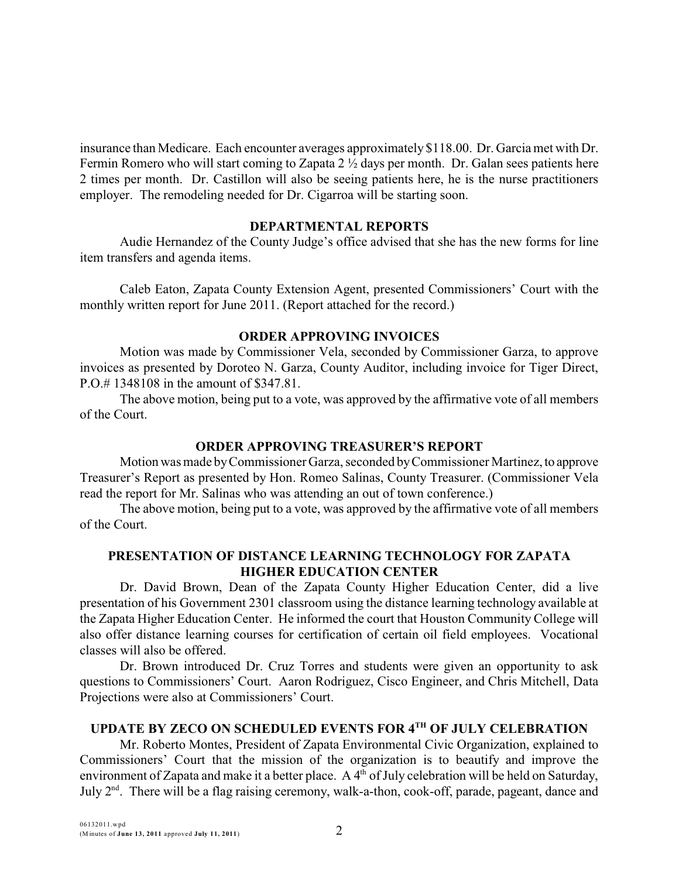insurance than Medicare. Each encounter averages approximately \$118.00. Dr. Garcia met with Dr. Fermin Romero who will start coming to Zapata 2 ½ days per month. Dr. Galan sees patients here 2 times per month. Dr. Castillon will also be seeing patients here, he is the nurse practitioners employer. The remodeling needed for Dr. Cigarroa will be starting soon.

#### **DEPARTMENTAL REPORTS**

Audie Hernandez of the County Judge's office advised that she has the new forms for line item transfers and agenda items.

Caleb Eaton, Zapata County Extension Agent, presented Commissioners' Court with the monthly written report for June 2011. (Report attached for the record.)

#### **ORDER APPROVING INVOICES**

Motion was made by Commissioner Vela, seconded by Commissioner Garza, to approve invoices as presented by Doroteo N. Garza, County Auditor, including invoice for Tiger Direct, P.O.# 1348108 in the amount of \$347.81.

The above motion, being put to a vote, was approved by the affirmative vote of all members of the Court.

#### **ORDER APPROVING TREASURER'S REPORT**

Motion was made byCommissioner Garza, seconded byCommissioner Martinez,to approve Treasurer's Report as presented by Hon. Romeo Salinas, County Treasurer. (Commissioner Vela read the report for Mr. Salinas who was attending an out of town conference.)

The above motion, being put to a vote, was approved by the affirmative vote of all members of the Court.

#### **PRESENTATION OF DISTANCE LEARNING TECHNOLOGY FOR ZAPATA HIGHER EDUCATION CENTER**

Dr. David Brown, Dean of the Zapata County Higher Education Center, did a live presentation of his Government 2301 classroom using the distance learning technology available at the Zapata Higher Education Center. He informed the court that Houston Community College will also offer distance learning courses for certification of certain oil field employees. Vocational classes will also be offered.

Dr. Brown introduced Dr. Cruz Torres and students were given an opportunity to ask questions to Commissioners' Court. Aaron Rodriguez, Cisco Engineer, and Chris Mitchell, Data Projections were also at Commissioners' Court.

### UPDATE BY ZECO ON SCHEDULED EVENTS FOR 4TH OF JULY CELEBRATION

Mr. Roberto Montes, President of Zapata Environmental Civic Organization, explained to Commissioners' Court that the mission of the organization is to beautify and improve the environment of Zapata and make it a better place. A  $4<sup>th</sup>$  of July celebration will be held on Saturday, July  $2<sup>nd</sup>$ . There will be a flag raising ceremony, walk-a-thon, cook-off, parade, pageant, dance and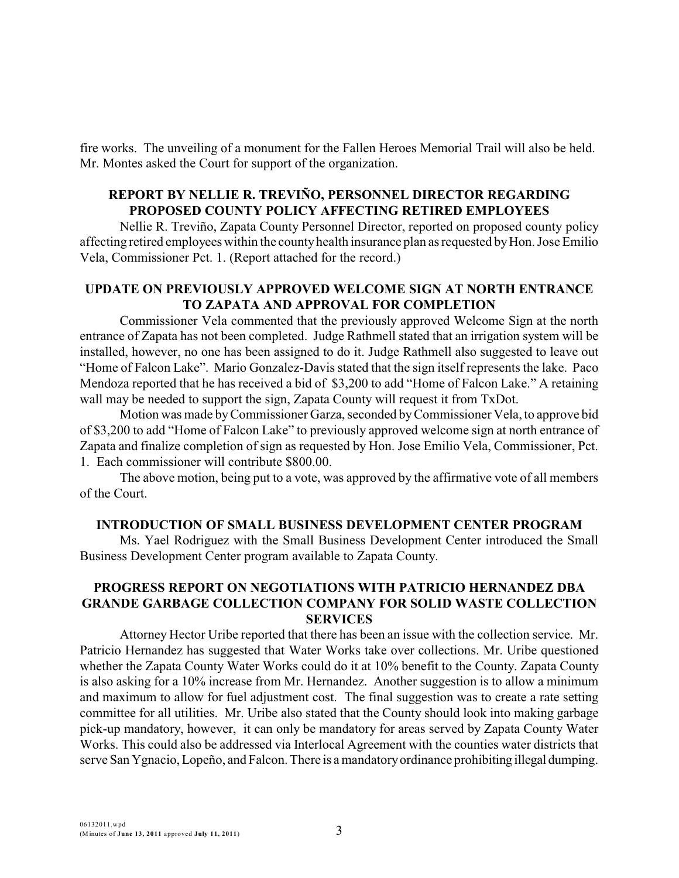fire works. The unveiling of a monument for the Fallen Heroes Memorial Trail will also be held. Mr. Montes asked the Court for support of the organization.

# **REPORT BY NELLIE R. TREVIÑO, PERSONNEL DIRECTOR REGARDING PROPOSED COUNTY POLICY AFFECTING RETIRED EMPLOYEES**

Nellie R. Treviño, Zapata County Personnel Director, reported on proposed county policy affecting retired employees within the countyhealth insurance plan as requested byHon. Jose Emilio Vela, Commissioner Pct. 1. (Report attached for the record.)

## **UPDATE ON PREVIOUSLY APPROVED WELCOME SIGN AT NORTH ENTRANCE TO ZAPATA AND APPROVAL FOR COMPLETION**

Commissioner Vela commented that the previously approved Welcome Sign at the north entrance of Zapata has not been completed. Judge Rathmell stated that an irrigation system will be installed, however, no one has been assigned to do it. Judge Rathmell also suggested to leave out "Home of Falcon Lake". Mario Gonzalez-Davis stated that the sign itself represents the lake. Paco Mendoza reported that he has received a bid of \$3,200 to add "Home of Falcon Lake." A retaining wall may be needed to support the sign, Zapata County will request it from TxDot.

Motion was made byCommissioner Garza, seconded byCommissioner Vela, to approve bid of \$3,200 to add "Home of Falcon Lake" to previously approved welcome sign at north entrance of Zapata and finalize completion of sign as requested by Hon. Jose Emilio Vela, Commissioner, Pct. 1. Each commissioner will contribute \$800.00.

The above motion, being put to a vote, was approved by the affirmative vote of all members of the Court.

#### **INTRODUCTION OF SMALL BUSINESS DEVELOPMENT CENTER PROGRAM**

Ms. Yael Rodriguez with the Small Business Development Center introduced the Small Business Development Center program available to Zapata County.

#### **PROGRESS REPORT ON NEGOTIATIONS WITH PATRICIO HERNANDEZ DBA GRANDE GARBAGE COLLECTION COMPANY FOR SOLID WASTE COLLECTION SERVICES**

Attorney Hector Uribe reported that there has been an issue with the collection service. Mr. Patricio Hernandez has suggested that Water Works take over collections. Mr. Uribe questioned whether the Zapata County Water Works could do it at 10% benefit to the County. Zapata County is also asking for a 10% increase from Mr. Hernandez. Another suggestion is to allow a minimum and maximum to allow for fuel adjustment cost. The final suggestion was to create a rate setting committee for all utilities. Mr. Uribe also stated that the County should look into making garbage pick-up mandatory, however, it can only be mandatory for areas served by Zapata County Water Works. This could also be addressed via Interlocal Agreement with the counties water districts that serve San Ygnacio, Lopeño, and Falcon. There is a mandatoryordinance prohibiting illegal dumping.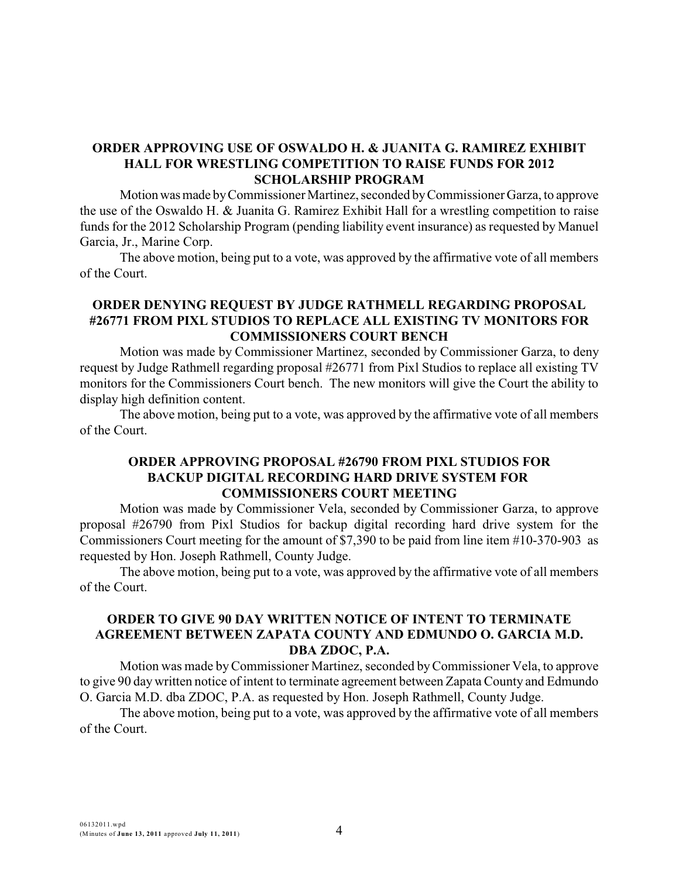# **ORDER APPROVING USE OF OSWALDO H. & JUANITA G. RAMIREZ EXHIBIT HALL FOR WRESTLING COMPETITION TO RAISE FUNDS FOR 2012 SCHOLARSHIP PROGRAM**

Motion was made by Commissioner Martinez, seconded by Commissioner Garza, to approve the use of the Oswaldo H. & Juanita G. Ramirez Exhibit Hall for a wrestling competition to raise funds for the 2012 Scholarship Program (pending liability event insurance) as requested by Manuel Garcia, Jr., Marine Corp.

The above motion, being put to a vote, was approved by the affirmative vote of all members of the Court.

#### **ORDER DENYING REQUEST BY JUDGE RATHMELL REGARDING PROPOSAL #26771 FROM PIXL STUDIOS TO REPLACE ALL EXISTING TV MONITORS FOR COMMISSIONERS COURT BENCH**

Motion was made by Commissioner Martinez, seconded by Commissioner Garza, to deny request by Judge Rathmell regarding proposal #26771 from Pixl Studios to replace all existing TV monitors for the Commissioners Court bench. The new monitors will give the Court the ability to display high definition content.

The above motion, being put to a vote, was approved by the affirmative vote of all members of the Court.

#### **ORDER APPROVING PROPOSAL #26790 FROM PIXL STUDIOS FOR BACKUP DIGITAL RECORDING HARD DRIVE SYSTEM FOR COMMISSIONERS COURT MEETING**

Motion was made by Commissioner Vela, seconded by Commissioner Garza, to approve proposal #26790 from Pixl Studios for backup digital recording hard drive system for the Commissioners Court meeting for the amount of \$7,390 to be paid from line item #10-370-903 as requested by Hon. Joseph Rathmell, County Judge.

The above motion, being put to a vote, was approved by the affirmative vote of all members of the Court.

### **ORDER TO GIVE 90 DAY WRITTEN NOTICE OF INTENT TO TERMINATE AGREEMENT BETWEEN ZAPATA COUNTY AND EDMUNDO O. GARCIA M.D. DBA ZDOC, P.A.**

Motion was made byCommissioner Martinez, seconded byCommissioner Vela, to approve to give 90 day written notice of intent to terminate agreement between Zapata County and Edmundo O. Garcia M.D. dba ZDOC, P.A. as requested by Hon. Joseph Rathmell, County Judge.

The above motion, being put to a vote, was approved by the affirmative vote of all members of the Court.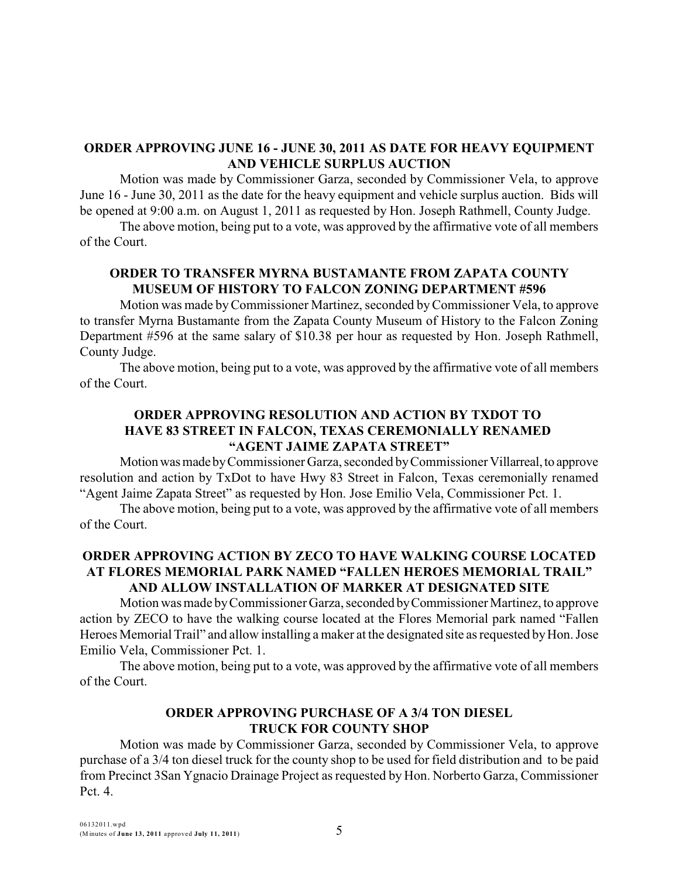### **ORDER APPROVING JUNE 16 - JUNE 30, 2011 AS DATE FOR HEAVY EQUIPMENT AND VEHICLE SURPLUS AUCTION**

Motion was made by Commissioner Garza, seconded by Commissioner Vela, to approve June 16 - June 30, 2011 as the date for the heavy equipment and vehicle surplus auction. Bids will be opened at 9:00 a.m. on August 1, 2011 as requested by Hon. Joseph Rathmell, County Judge.

The above motion, being put to a vote, was approved by the affirmative vote of all members of the Court.

# **ORDER TO TRANSFER MYRNA BUSTAMANTE FROM ZAPATA COUNTY MUSEUM OF HISTORY TO FALCON ZONING DEPARTMENT #596**

Motion was made byCommissioner Martinez, seconded byCommissioner Vela, to approve to transfer Myrna Bustamante from the Zapata County Museum of History to the Falcon Zoning Department #596 at the same salary of \$10.38 per hour as requested by Hon. Joseph Rathmell, County Judge.

The above motion, being put to a vote, was approved by the affirmative vote of all members of the Court.

# **ORDER APPROVING RESOLUTION AND ACTION BY TXDOT TO HAVE 83 STREET IN FALCON, TEXAS CEREMONIALLY RENAMED "AGENT JAIME ZAPATA STREET"**

Motion was made by Commissioner Garza, seconded by Commissioner Villarreal, to approve resolution and action by TxDot to have Hwy 83 Street in Falcon, Texas ceremonially renamed "Agent Jaime Zapata Street" as requested by Hon. Jose Emilio Vela, Commissioner Pct. 1.

The above motion, being put to a vote, was approved by the affirmative vote of all members of the Court.

# **ORDER APPROVING ACTION BY ZECO TO HAVE WALKING COURSE LOCATED AT FLORES MEMORIAL PARK NAMED "FALLEN HEROES MEMORIAL TRAIL" AND ALLOW INSTALLATION OF MARKER AT DESIGNATED SITE**

Motion was made by Commissioner Garza, seconded by Commissioner Martinez, to approve action by ZECO to have the walking course located at the Flores Memorial park named "Fallen Heroes Memorial Trail" and allow installing a maker at the designated site as requested byHon. Jose Emilio Vela, Commissioner Pct. 1.

The above motion, being put to a vote, was approved by the affirmative vote of all members of the Court.

# **ORDER APPROVING PURCHASE OF A 3/4 TON DIESEL TRUCK FOR COUNTY SHOP**

Motion was made by Commissioner Garza, seconded by Commissioner Vela, to approve purchase of a 3/4 ton diesel truck for the county shop to be used for field distribution and to be paid from Precinct 3San Ygnacio Drainage Project as requested by Hon. Norberto Garza, Commissioner Pct. 4.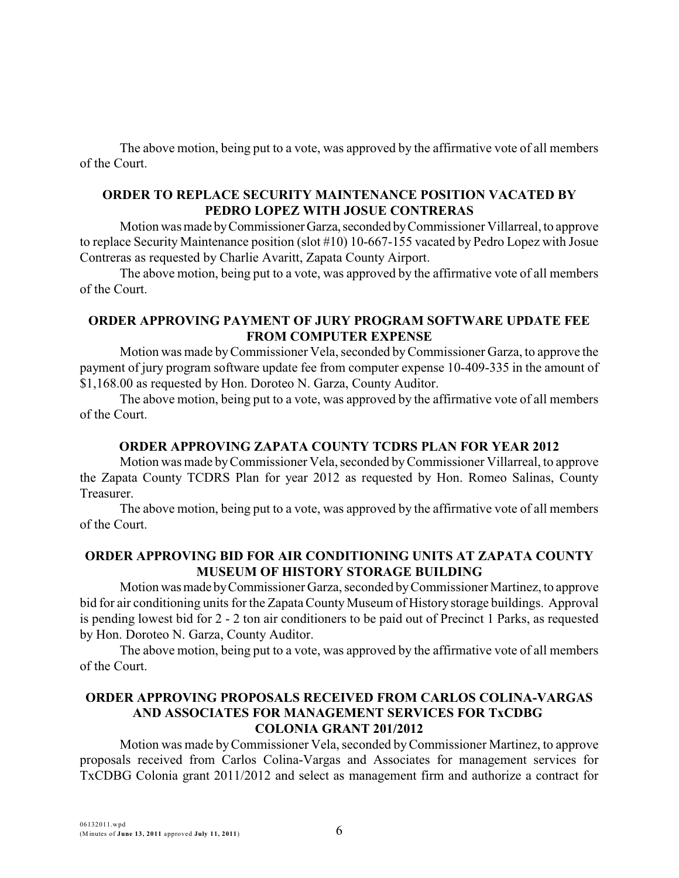The above motion, being put to a vote, was approved by the affirmative vote of all members of the Court.

### **ORDER TO REPLACE SECURITY MAINTENANCE POSITION VACATED BY PEDRO LOPEZ WITH JOSUE CONTRERAS**

Motion was made byCommissionerGarza,seconded byCommissioner Villarreal, to approve to replace Security Maintenance position (slot #10) 10-667-155 vacated by Pedro Lopez with Josue Contreras as requested by Charlie Avaritt, Zapata County Airport.

The above motion, being put to a vote, was approved by the affirmative vote of all members of the Court.

#### **ORDER APPROVING PAYMENT OF JURY PROGRAM SOFTWARE UPDATE FEE FROM COMPUTER EXPENSE**

Motion was made byCommissioner Vela, seconded byCommissioner Garza, to approve the payment of jury program software update fee from computer expense 10-409-335 in the amount of \$1,168.00 as requested by Hon. Doroteo N. Garza, County Auditor.

The above motion, being put to a vote, was approved by the affirmative vote of all members of the Court.

# **ORDER APPROVING ZAPATA COUNTY TCDRS PLAN FOR YEAR 2012**

Motion was made byCommissioner Vela, seconded byCommissioner Villarreal, to approve the Zapata County TCDRS Plan for year 2012 as requested by Hon. Romeo Salinas, County **Treasurer** 

The above motion, being put to a vote, was approved by the affirmative vote of all members of the Court.

# **ORDER APPROVING BID FOR AIR CONDITIONING UNITS AT ZAPATA COUNTY MUSEUM OF HISTORY STORAGE BUILDING**

Motion wasmade byCommissioner Garza, seconded byCommissioner Martinez, to approve bid for air conditioning units for the Zapata County Museum of History storage buildings. Approval is pending lowest bid for 2 - 2 ton air conditioners to be paid out of Precinct 1 Parks, as requested by Hon. Doroteo N. Garza, County Auditor.

The above motion, being put to a vote, was approved by the affirmative vote of all members of the Court.

## **ORDER APPROVING PROPOSALS RECEIVED FROM CARLOS COLINA-VARGAS AND ASSOCIATES FOR MANAGEMENT SERVICES FOR TxCDBG COLONIA GRANT 201/2012**

Motion was made byCommissioner Vela, seconded byCommissioner Martinez, to approve proposals received from Carlos Colina-Vargas and Associates for management services for TxCDBG Colonia grant 2011/2012 and select as management firm and authorize a contract for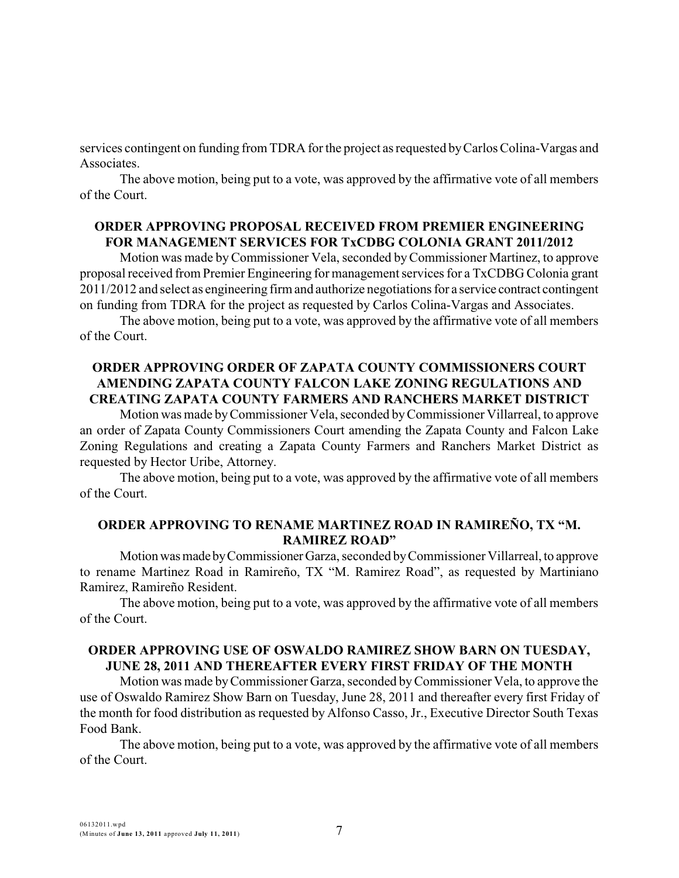services contingent on funding from TDRA for the project as requested byCarlos Colina-Vargas and Associates.

The above motion, being put to a vote, was approved by the affirmative vote of all members of the Court.

#### **ORDER APPROVING PROPOSAL RECEIVED FROM PREMIER ENGINEERING FOR MANAGEMENT SERVICES FOR TxCDBG COLONIA GRANT 2011/2012**

Motion was made byCommissioner Vela, seconded byCommissioner Martinez, to approve proposal received from Premier Engineering for management services for a TxCDBG Colonia grant 2011/2012 and select as engineering firm and authorize negotiations for a service contract contingent on funding from TDRA for the project as requested by Carlos Colina-Vargas and Associates.

The above motion, being put to a vote, was approved by the affirmative vote of all members of the Court.

#### **ORDER APPROVING ORDER OF ZAPATA COUNTY COMMISSIONERS COURT AMENDING ZAPATA COUNTY FALCON LAKE ZONING REGULATIONS AND CREATING ZAPATA COUNTY FARMERS AND RANCHERS MARKET DISTRICT**

Motion was made byCommissioner Vela, seconded byCommissioner Villarreal, to approve an order of Zapata County Commissioners Court amending the Zapata County and Falcon Lake Zoning Regulations and creating a Zapata County Farmers and Ranchers Market District as requested by Hector Uribe, Attorney.

The above motion, being put to a vote, was approved by the affirmative vote of all members of the Court.

#### **ORDER APPROVING TO RENAME MARTINEZ ROAD IN RAMIREÑO, TX "M. RAMIREZ ROAD"**

Motionwasmade byCommissionerGarza, seconded byCommissioner Villarreal, to approve to rename Martinez Road in Ramireño, TX "M. Ramirez Road", as requested by Martiniano Ramirez, Ramireño Resident.

The above motion, being put to a vote, was approved by the affirmative vote of all members of the Court.

#### **ORDER APPROVING USE OF OSWALDO RAMIREZ SHOW BARN ON TUESDAY, JUNE 28, 2011 AND THEREAFTER EVERY FIRST FRIDAY OF THE MONTH**

Motion was made byCommissioner Garza, seconded byCommissioner Vela, to approve the use of Oswaldo Ramirez Show Barn on Tuesday, June 28, 2011 and thereafter every first Friday of the month for food distribution as requested by Alfonso Casso, Jr., Executive Director South Texas Food Bank.

The above motion, being put to a vote, was approved by the affirmative vote of all members of the Court.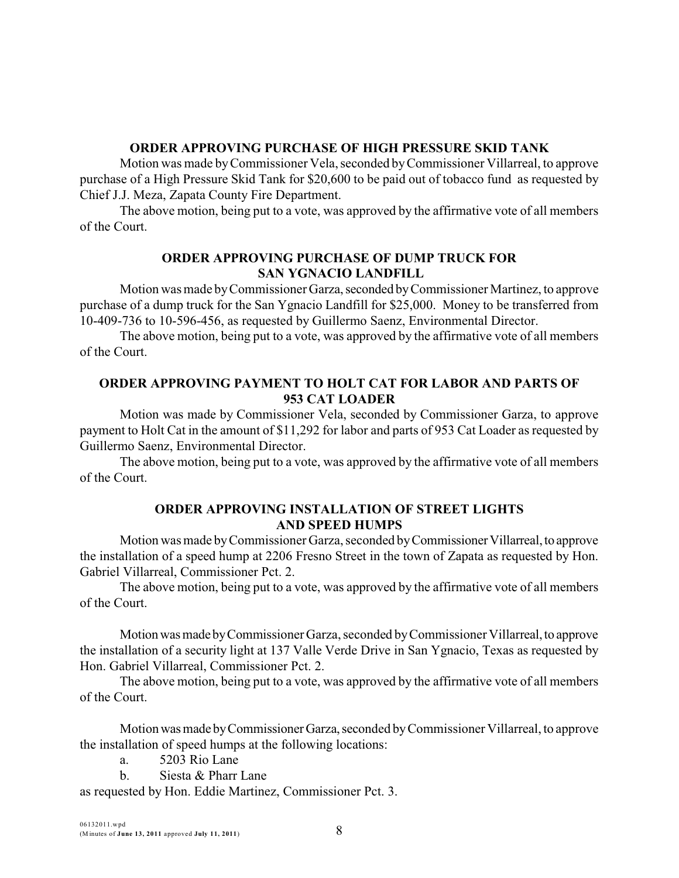#### **ORDER APPROVING PURCHASE OF HIGH PRESSURE SKID TANK**

Motion was made byCommissioner Vela, seconded byCommissioner Villarreal, to approve purchase of a High Pressure Skid Tank for \$20,600 to be paid out of tobacco fund as requested by Chief J.J. Meza, Zapata County Fire Department.

The above motion, being put to a vote, was approved by the affirmative vote of all members of the Court.

#### **ORDER APPROVING PURCHASE OF DUMP TRUCK FOR SAN YGNACIO LANDFILL**

Motion was made by Commissioner Garza, seconded by Commissioner Martinez, to approve purchase of a dump truck for the San Ygnacio Landfill for \$25,000. Money to be transferred from 10-409-736 to 10-596-456, as requested by Guillermo Saenz, Environmental Director.

The above motion, being put to a vote, was approved by the affirmative vote of all members of the Court.

# **ORDER APPROVING PAYMENT TO HOLT CAT FOR LABOR AND PARTS OF 953 CAT LOADER**

Motion was made by Commissioner Vela, seconded by Commissioner Garza, to approve payment to Holt Cat in the amount of \$11,292 for labor and parts of 953 Cat Loader as requested by Guillermo Saenz, Environmental Director.

The above motion, being put to a vote, was approved by the affirmative vote of all members of the Court.

# **ORDER APPROVING INSTALLATION OF STREET LIGHTS AND SPEED HUMPS**

Motion was made byCommissioner Garza, seconded byCommissionerVillarreal,to approve the installation of a speed hump at 2206 Fresno Street in the town of Zapata as requested by Hon. Gabriel Villarreal, Commissioner Pct. 2.

The above motion, being put to a vote, was approved by the affirmative vote of all members of the Court.

Motion was made by Commissioner Garza, seconded by Commissioner Villarreal, to approve the installation of a security light at 137 Valle Verde Drive in San Ygnacio, Texas as requested by Hon. Gabriel Villarreal, Commissioner Pct. 2.

The above motion, being put to a vote, was approved by the affirmative vote of all members of the Court.

Motion was made by Commissioner Garza, seconded by Commissioner Villarreal, to approve the installation of speed humps at the following locations:

- a. 5203 Rio Lane
- b. Siesta & Pharr Lane

as requested by Hon. Eddie Martinez, Commissioner Pct. 3.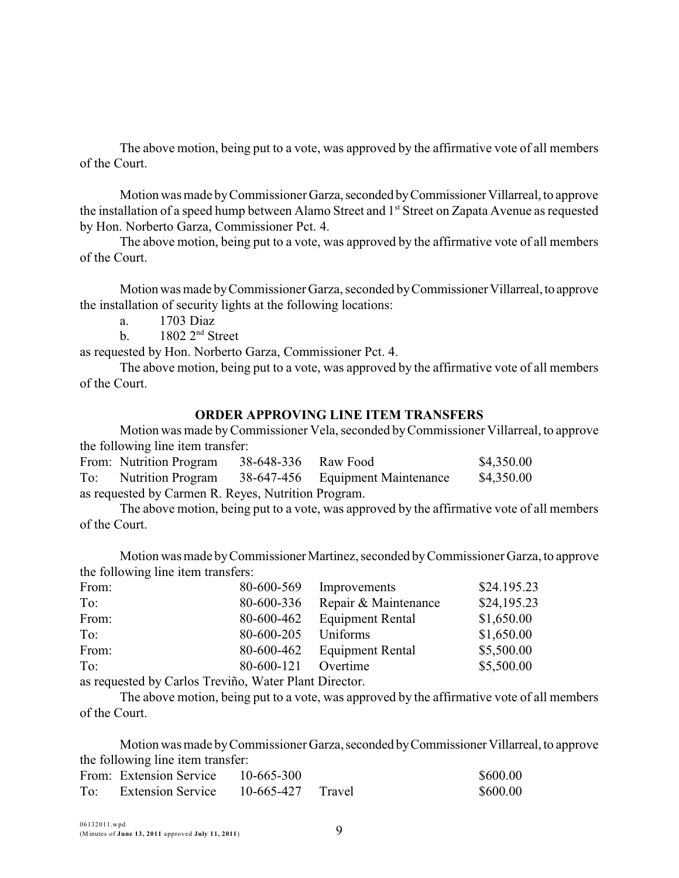The above motion, being put to a vote, was approved by the affirmative vote of all members of the Court.

Motion was made by Commissioner Garza, seconded by Commissioner Villarreal, to approve the installation of a speed hump between Alamo Street and 1<sup>st</sup> Street on Zapata Avenue as requested by Hon. Norberto Garza, Commissioner Pct. 4.

The above motion, being put to a vote, was approved by the affirmative vote of all members of the Court.

Motion was made byCommissioner Garza, seconded byCommissionerVillarreal,to approve the installation of security lights at the following locations:

a. 1703 Diaz

b.  $1802 \, 2^{nd}$  Street

as requested by Hon. Norberto Garza, Commissioner Pct. 4.

The above motion, being put to a vote, was approved by the affirmative vote of all members of the Court.

#### **ORDER APPROVING LINE ITEM TRANSFERS**

Motion was made byCommissioner Vela, seconded byCommissioner Villarreal, to approve the following line item transfer:

|                                                     | From: Nutrition Program | 38-648-336 Raw Food |                                                        | \$4,350.00 |  |  |  |  |
|-----------------------------------------------------|-------------------------|---------------------|--------------------------------------------------------|------------|--|--|--|--|
|                                                     |                         |                     | To: Nutrition Program 38-647-456 Equipment Maintenance | \$4,350.00 |  |  |  |  |
| as requested by Carmen R. Reyes, Nutrition Program. |                         |                     |                                                        |            |  |  |  |  |

The above motion, being put to a vote, was approved by the affirmative vote of all members of the Court.

Motion was made byCommissionerMartinez, seconded byCommissioner Garza, to approve the following line item transfers:

| 80-600-569 | Improvements            | \$24.195.23 |
|------------|-------------------------|-------------|
| 80-600-336 | Repair & Maintenance    | \$24,195.23 |
| 80-600-462 | <b>Equipment Rental</b> | \$1,650.00  |
| 80-600-205 | Uniforms                | \$1,650.00  |
| 80-600-462 | <b>Equipment Rental</b> | \$5,500.00  |
| 80-600-121 | Overtime                | \$5,500.00  |
|            |                         |             |

as requested by Carlos Treviño, Water Plant Director.

The above motion, being put to a vote, was approved by the affirmative vote of all members of the Court.

Motion was made by Commissioner Garza, seconded by Commissioner Villarreal, to approve the following line item transfer:

|     | From: Extension Service  | 10-665-300          | \$600.00 |
|-----|--------------------------|---------------------|----------|
| To: | <b>Extension Service</b> | $10-665-427$ Travel | \$600.00 |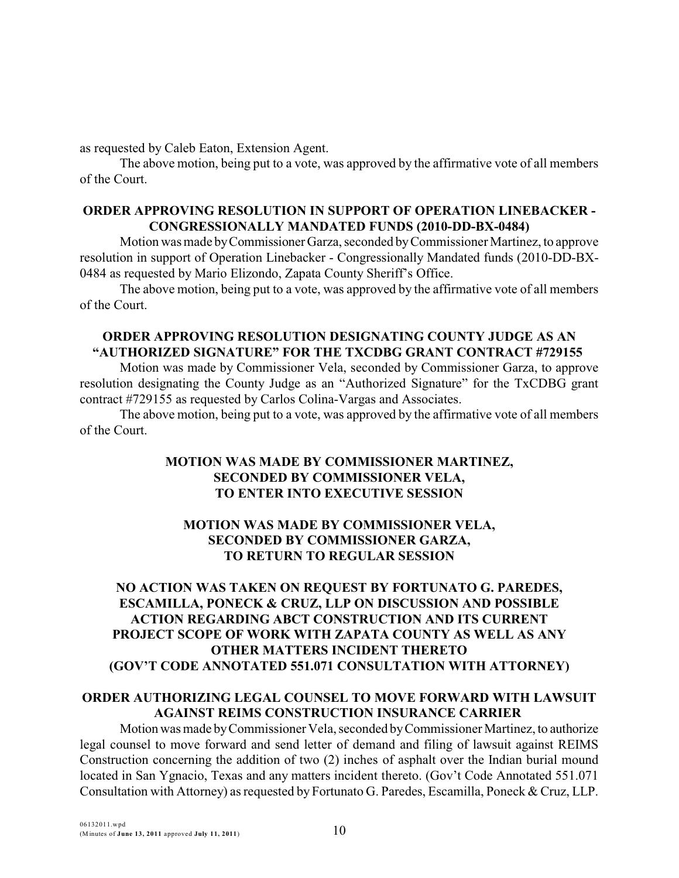as requested by Caleb Eaton, Extension Agent.

The above motion, being put to a vote, was approved by the affirmative vote of all members of the Court.

## **ORDER APPROVING RESOLUTION IN SUPPORT OF OPERATION LINEBACKER - CONGRESSIONALLY MANDATED FUNDS (2010-DD-BX-0484)**

Motion was made byCommissioner Garza, seconded byCommissioner Martinez, to approve resolution in support of Operation Linebacker - Congressionally Mandated funds (2010-DD-BX-0484 as requested by Mario Elizondo, Zapata County Sheriff's Office.

The above motion, being put to a vote, was approved by the affirmative vote of all members of the Court.

# **ORDER APPROVING RESOLUTION DESIGNATING COUNTY JUDGE AS AN "AUTHORIZED SIGNATURE" FOR THE TXCDBG GRANT CONTRACT #729155**

Motion was made by Commissioner Vela, seconded by Commissioner Garza, to approve resolution designating the County Judge as an "Authorized Signature" for the TxCDBG grant contract #729155 as requested by Carlos Colina-Vargas and Associates.

The above motion, being put to a vote, was approved by the affirmative vote of all members of the Court.

# **MOTION WAS MADE BY COMMISSIONER MARTINEZ, SECONDED BY COMMISSIONER VELA, TO ENTER INTO EXECUTIVE SESSION**

# **MOTION WAS MADE BY COMMISSIONER VELA, SECONDED BY COMMISSIONER GARZA, TO RETURN TO REGULAR SESSION**

# **NO ACTION WAS TAKEN ON REQUEST BY FORTUNATO G. PAREDES, ESCAMILLA, PONECK & CRUZ, LLP ON DISCUSSION AND POSSIBLE ACTION REGARDING ABCT CONSTRUCTION AND ITS CURRENT PROJECT SCOPE OF WORK WITH ZAPATA COUNTY AS WELL AS ANY OTHER MATTERS INCIDENT THERETO (GOV'T CODE ANNOTATED 551.071 CONSULTATION WITH ATTORNEY)**

#### **ORDER AUTHORIZING LEGAL COUNSEL TO MOVE FORWARD WITH LAWSUIT AGAINST REIMS CONSTRUCTION INSURANCE CARRIER**

Motion was made byCommissioner Vela, seconded byCommissioner Martinez, to authorize legal counsel to move forward and send letter of demand and filing of lawsuit against REIMS Construction concerning the addition of two (2) inches of asphalt over the Indian burial mound located in San Ygnacio, Texas and any matters incident thereto. (Gov't Code Annotated 551.071 Consultation with Attorney) as requested by Fortunato G. Paredes, Escamilla, Poneck & Cruz, LLP.